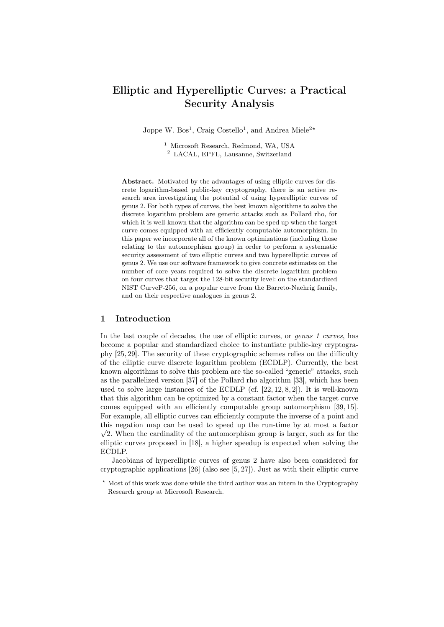# Elliptic and Hyperelliptic Curves: a Practical Security Analysis

Joppe W. Bos<sup>1</sup>, Craig Costello<sup>1</sup>, and Andrea Miele<sup>2\*</sup>

<sup>1</sup> Microsoft Research, Redmond, WA, USA <sup>2</sup> LACAL, EPFL, Lausanne, Switzerland

Abstract. Motivated by the advantages of using elliptic curves for discrete logarithm-based public-key cryptography, there is an active research area investigating the potential of using hyperelliptic curves of genus 2. For both types of curves, the best known algorithms to solve the discrete logarithm problem are generic attacks such as Pollard rho, for which it is well-known that the algorithm can be sped up when the target curve comes equipped with an efficiently computable automorphism. In this paper we incorporate all of the known optimizations (including those relating to the automorphism group) in order to perform a systematic security assessment of two elliptic curves and two hyperelliptic curves of genus 2. We use our software framework to give concrete estimates on the number of core years required to solve the discrete logarithm problem on four curves that target the 128-bit security level: on the standardized NIST CurveP-256, on a popular curve from the Barreto-Naehrig family, and on their respective analogues in genus 2.

# 1 Introduction

In the last couple of decades, the use of elliptic curves, or *genus 1 curves*, has become a popular and standardized choice to instantiate public-key cryptography [25, 29]. The security of these cryptographic schemes relies on the difficulty of the elliptic curve discrete logarithm problem (ECDLP). Currently, the best known algorithms to solve this problem are the so-called "generic" attacks, such as the parallelized version [37] of the Pollard rho algorithm [33], which has been used to solve large instances of the ECDLP (cf.  $[22, 12, 8, 2]$ ). It is well-known that this algorithm can be optimized by a constant factor when the target curve comes equipped with an efficiently computable group automorphism [39, 15]. For example, all elliptic curves can efficiently compute the inverse of a point and this negation map can be used to speed up the run-time by at most a factor  $\sqrt{2}$ . When the cardinality of the automorphism group is larger, such as for the elliptic curves proposed in [18], a higher speedup is expected when solving the ECDLP.

Jacobians of hyperelliptic curves of genus 2 have also been considered for cryptographic applications [26] (also see [5, 27]). Just as with their elliptic curve

<sup>?</sup> Most of this work was done while the third author was an intern in the Cryptography Research group at Microsoft Research.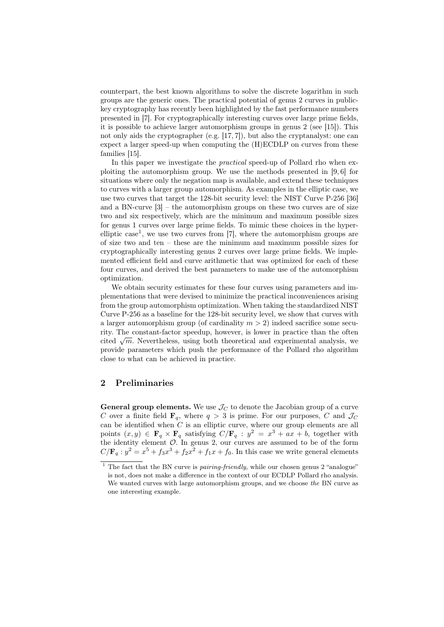counterpart, the best known algorithms to solve the discrete logarithm in such groups are the generic ones. The practical potential of genus 2 curves in publickey cryptography has recently been highlighted by the fast performance numbers presented in [7]. For cryptographically interesting curves over large prime fields, it is possible to achieve larger automorphism groups in genus 2 (see [15]). This not only aids the cryptographer (e.g. [17, 7]), but also the cryptanalyst: one can expect a larger speed-up when computing the (H)ECDLP on curves from these families [15].

In this paper we investigate the *practical* speed-up of Pollard rho when exploiting the automorphism group. We use the methods presented in [9, 6] for situations where only the negation map is available, and extend these techniques to curves with a larger group automorphism. As examples in the elliptic case, we use two curves that target the 128-bit security level: the NIST Curve P-256 [36] and a BN-curve  $[3]$  – the automorphism groups on these two curves are of size two and six respectively, which are the minimum and maximum possible sizes for genus 1 curves over large prime fields. To mimic these choices in the hyperelliptic case<sup>1</sup>, we use two curves from [7], where the automorphism groups are of size two and ten – these are the minimum and maximum possible sizes for cryptographically interesting genus 2 curves over large prime fields. We implemented efficient field and curve arithmetic that was optimized for each of these four curves, and derived the best parameters to make use of the automorphism optimization.

We obtain security estimates for these four curves using parameters and implementations that were devised to minimize the practical inconveniences arising from the group automorphism optimization. When taking the standardized NIST Curve P-256 as a baseline for the 128-bit security level, we show that curves with a larger automorphism group (of cardinality  $m > 2$ ) indeed sacrifice some security. The constant-factor speedup, however, is lower in practice than the often rity. The constant-lactor speedup, however, is lower in practice than the otten cited  $\sqrt{m}$ . Nevertheless, using both theoretical and experimental analysis, we provide parameters which push the performance of the Pollard rho algorithm close to what can be achieved in practice.

# 2 Preliminaries

**General group elements.** We use  $\mathcal{J}_C$  to denote the Jacobian group of a curve C over a finite field  $\mathbf{F}_q$ , where  $q > 3$  is prime. For our purposes, C and  $\mathcal{J}_C$ can be identified when  $C$  is an elliptic curve, where our group elements are all points  $(x, y) \in \mathbf{F}_q \times \mathbf{F}_q$  satisfying  $C/\mathbf{F}_q : y^2 = x^3 + ax + b$ , together with the identity element  $\mathcal{O}$ . In genus 2, our curves are assumed to be of the form  $C/\mathbf{F}_q : y^2 = x^5 + f_3x^3 + f_2x^2 + f_1x + f_0$ . In this case we write general elements

 $1$  The fact that the BN curve is *pairing-friendly*, while our chosen genus 2 "analogue" is not, does not make a difference in the context of our ECDLP Pollard rho analysis. We wanted curves with large automorphism groups, and we choose the BN curve as one interesting example.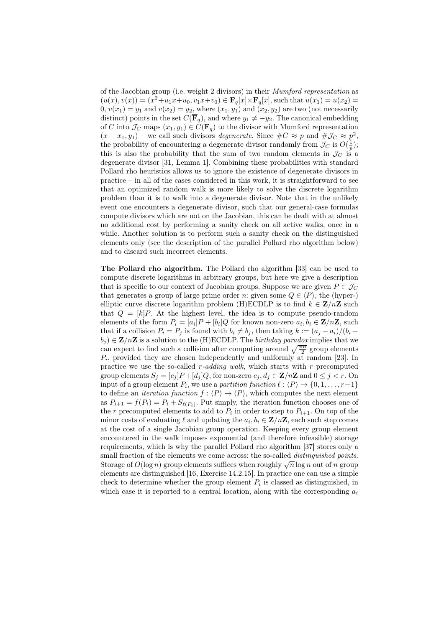of the Jacobian group (i.e. weight 2 divisors) in their Mumford representation as  $(u(x), v(x)) = (x^2 + u_1x + u_0, v_1x + v_0) \in \mathbf{F}_q[x] \times \mathbf{F}_q[x]$ , such that  $u(x_1) = u(x_2) =$  $0, v(x_1) = y_1$  and  $v(x_2) = y_2$ , where  $(x_1, y_1)$  and  $(x_2, y_2)$  are two (not necessarily distinct) points in the set  $C(\overline{\mathbf{F}}_q)$ , and where  $y_1 \neq -y_2$ . The canonical embedding of C into  $\mathcal{J}_C$  maps  $(x_1, y_1) \in C(\mathbf{F}_q)$  to the divisor with Mumford representation  $(x - x_1, y_1)$  – we call such divisors *degenerate*. Since  $\#C \approx p$  and  $\# \mathcal{J}_C \approx p^2$ , the probability of encountering a degenerate divisor randomly from  $\mathcal{J}_C$  is  $O(\frac{1}{p})$ ; this is also the probability that the sum of two random elements in  $\mathcal{J}_C$  is a degenerate divisor [31, Lemma 1]. Combining these probabilities with standard Pollard rho heuristics allows us to ignore the existence of degenerate divisors in practice – in all of the cases considered in this work, it is straightforward to see that an optimized random walk is more likely to solve the discrete logarithm problem than it is to walk into a degenerate divisor. Note that in the unlikely event one encounters a degenerate divisor, such that our general-case formulas compute divisors which are not on the Jacobian, this can be dealt with at almost no additional cost by performing a sanity check on all active walks, once in a while. Another solution is to perform such a sanity check on the distinguished elements only (see the description of the parallel Pollard rho algorithm below) and to discard such incorrect elements.

The Pollard rho algorithm. The Pollard rho algorithm [33] can be used to compute discrete logarithms in arbitrary groups, but here we give a description that is specific to our context of Jacobian groups. Suppose we are given  $P \in \mathcal{J}_C$ that generates a group of large prime order n: given some  $Q \in \langle P \rangle$ , the (hyper-) elliptic curve discrete logarithm problem (H)ECDLP is to find  $k \in \mathbb{Z}/n\mathbb{Z}$  such that  $Q = [k]P$ . At the highest level, the idea is to compute pseudo-random elements of the form  $P_i = [a_i]P + [b_i]Q$  for known non-zero  $a_i, b_i \in \mathbf{Z}/n\mathbf{Z}$ , such that if a collision  $P_i = P_j$  is found with  $b_i \neq b_j$ , then taking  $k := (a_i - a_i)/(b_i - a_i)$  $b_i$ )  $\in \mathbb{Z}/n\mathbb{Z}$  is a solution to the (H)ECDLP. The *birthday paradox* implies that we can expect to find such a collision after computing around  $\sqrt{\frac{\pi n}{2}}$  group elements  $P_i$ , provided they are chosen independently and uniformly at random [23]. In practice we use the so-called  $r$ -adding walk, which starts with  $r$  precomputed group elements  $S_j = [c_j]P + [d_j]Q$ , for non-zero  $c_j, d_j \in \mathbf{Z}/n\mathbf{Z}$  and  $0 \leq j < r$ . On input of a group element  $P_i$ , we use a *partition function*  $\ell : \langle P \rangle \to \{0, 1, \ldots, r-1\}$ to define an *iteration function*  $f : \langle P \rangle \to \langle P \rangle$ , which computes the next element as  $P_{i+1} = f(P_i) = P_i + S_{\ell(P_i)}$ . Put simply, the iteration function chooses one of the r precomputed elements to add to  $P_i$  in order to step to  $P_{i+1}$ . On top of the minor costs of evaluating  $\ell$  and updating the  $a_i, b_i \in \mathbf{Z}/n\mathbf{Z}$ , each such step comes at the cost of a single Jacobian group operation. Keeping every group element encountered in the walk imposes exponential (and therefore infeasible) storage requirements, which is why the parallel Pollard rho algorithm [37] stores only a small fraction of the elements we come across: the so-called *distinguished points*. sman maction of the elements we come across: the so-caned *alsonguished points*.<br>Storage of  $O(\log n)$  group elements suffices when roughly  $\sqrt{n}\log n$  out of n group elements are distinguished [16, Exercise 14.2.15]. In practice one can use a simple check to determine whether the group element  $P_i$  is classed as distinguished, in which case it is reported to a central location, along with the corresponding  $a_i$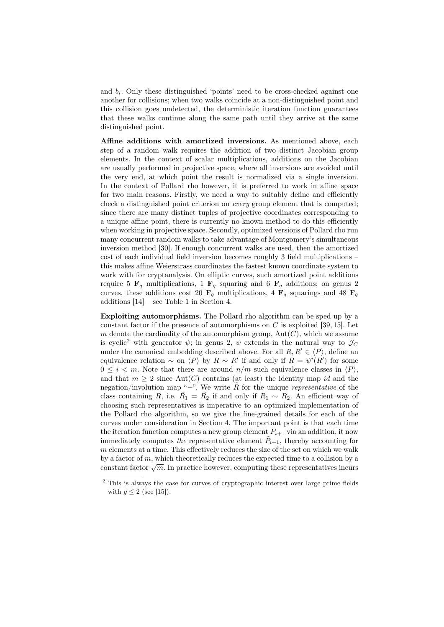and  $b_i$ . Only these distinguished 'points' need to be cross-checked against one another for collisions; when two walks coincide at a non-distinguished point and this collision goes undetected, the deterministic iteration function guarantees that these walks continue along the same path until they arrive at the same distinguished point.

Affine additions with amortized inversions. As mentioned above, each step of a random walk requires the addition of two distinct Jacobian group elements. In the context of scalar multiplications, additions on the Jacobian are usually performed in projective space, where all inversions are avoided until the very end, at which point the result is normalized via a single inversion. In the context of Pollard rho however, it is preferred to work in affine space for two main reasons. Firstly, we need a way to suitably define and efficiently check a distinguished point criterion on every group element that is computed; since there are many distinct tuples of projective coordinates corresponding to a unique affine point, there is currently no known method to do this efficiently when working in projective space. Secondly, optimized versions of Pollard rho run many concurrent random walks to take advantage of Montgomery's simultaneous inversion method [30]. If enough concurrent walks are used, then the amortized cost of each individual field inversion becomes roughly 3 field multiplications – this makes affine Weierstrass coordinates the fastest known coordinate system to work with for cryptanalysis. On elliptic curves, such amortized point additions require 5  $\mathbf{F}_q$  multiplications, 1  $\mathbf{F}_q$  squaring and 6  $\mathbf{F}_q$  additions; on genus 2 curves, these additions cost 20  $\mathbf{F}_q$  multiplications, 4  $\mathbf{F}_q$  squarings and 48  $\mathbf{F}_q$ additions [14] – see Table 1 in Section 4.

Exploiting automorphisms. The Pollard rho algorithm can be sped up by a constant factor if the presence of automorphisms on  $C$  is exploited [39, 15]. Let m denote the cardinality of the automorphism group,  $Aut(C)$ , which we assume is cyclic<sup>2</sup> with generator  $\psi$ ; in genus 2,  $\psi$  extends in the natural way to  $\mathcal{J}_C$ under the canonical embedding described above. For all  $R, R' \in \langle P \rangle$ , define an equivalence relation  $\sim$  on  $\langle P \rangle$  by  $R \sim R'$  if and only if  $R = \psi^{i}(R')$  for some  $0 \leq i \leq m$ . Note that there are around  $n/m$  such equivalence classes in  $\langle P \rangle$ , and that  $m \geq 2$  since Aut(C) contains (at least) the identity map id and the negation/involution map "−". We write  $\tilde{R}$  for the unique *representative* of the class containing R, i.e.  $\tilde{R_1} = \tilde{R_2}$  if and only if  $R_1 \sim R_2$ . An efficient way of choosing such representatives is imperative to an optimized implementation of the Pollard rho algorithm, so we give the fine-grained details for each of the curves under consideration in Section 4. The important point is that each time the iteration function computes a new group element  $P_{i+1}$  via an addition, it now immediately computes the representative element  $\tilde{P}_{i+1}$ , thereby accounting for  $m$  elements at a time. This effectively reduces the size of the set on which we walk by a factor of  $m$ , which theoretically reduces the expected time to a collision by a by a factor of m, which theoretically reduces the expected time to a constol by a constant factor  $\sqrt{m}$ . In practice however, computing these representatives incurs

<sup>2</sup> This is always the case for curves of cryptographic interest over large prime fields with  $g \leq 2$  (see [15]).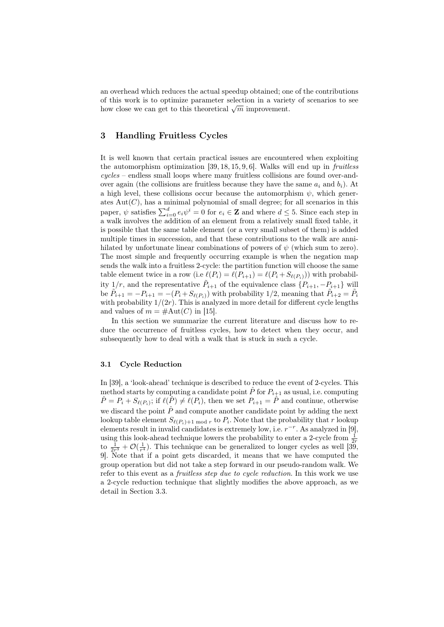an overhead which reduces the actual speedup obtained; one of the contributions of this work is to optimize parameter selection in a variety of scenarios to see or this work is to optimize parameter selection in a variety how close we can get to this theoretical  $\sqrt{m}$  improvement.

# 3 Handling Fruitless Cycles

It is well known that certain practical issues are encountered when exploiting the automorphism optimization  $[39, 18, 15, 9, 6]$ . Walks will end up in fruitless cycles – endless small loops where many fruitless collisions are found over-andover again (the collisions are fruitless because they have the same  $a_i$  and  $b_i$ ). At a high level, these collisions occur because the automorphism  $\psi$ , which generates  $Aut(C)$ , has a minimal polynomial of small degree; for all scenarios in this paper,  $\psi$  satisfies  $\sum_{i=0}^{d} e_i \psi^i = 0$  for  $e_i \in \mathbb{Z}$  and where  $d \leq 5$ . Since each step in a walk involves the addition of an element from a relatively small fixed table, it is possible that the same table element (or a very small subset of them) is added multiple times in succession, and that these contributions to the walk are annihilated by unfortunate linear combinations of powers of  $\psi$  (which sum to zero). The most simple and frequently occurring example is when the negation map sends the walk into a fruitless 2-cycle: the partition function will choose the same table element twice in a row (i.e  $\ell(P_i) = \ell(P_{i+1}) = \ell(P_i + S_{\ell(P_i)})$ ) with probability  $1/r$ , and the representative  $\tilde{P}_{i+1}$  of the equivalence class  $\{P_{i+1}, -P_{i+1}\}$  will be  $\tilde{P}_{i+1} = -P_{i+1} = -(P_i + S_{\ell(P_i)})$  with probability 1/2, meaning that  $\tilde{P}_{i+2} = \tilde{P}_i$ with probability  $1/(2r)$ . This is analyzed in more detail for different cycle lengths and values of  $m = \text{\#Aut}(C)$  in [15].

In this section we summarize the current literature and discuss how to reduce the occurrence of fruitless cycles, how to detect when they occur, and subsequently how to deal with a walk that is stuck in such a cycle.

#### 3.1 Cycle Reduction

In [39], a 'look-ahead' technique is described to reduce the event of 2-cycles. This method starts by computing a candidate point  $\hat{P}$  for  $P_{i+1}$  as usual, i.e. computing  $\hat{P} = P_i + S_{\ell(P_i)}$ ; if  $\ell(\hat{P}) \neq \ell(P_i)$ , then we set  $P_{i+1} = \hat{P}$  and continue, otherwise we discard the point  $\hat{P}$  and compute another candidate point by adding the next lookup table element  $S_{\ell(P_i)+1 \bmod r}$  to  $P_i$ . Note that the probability that r lookup elements result in invalid candidates is extremely low, i.e.  $r^{-r}$ . As analyzed in [9], using this look-ahead technique lowers the probability to enter a 2-cycle from  $\frac{1}{2r}$ to  $\frac{1}{2r^3} + \mathcal{O}(\frac{1}{r^4})$ . This technique can be generalized to longer cycles as well [39, 9]. Note that if a point gets discarded, it means that we have computed the group operation but did not take a step forward in our pseudo-random walk. We refer to this event as a *fruitless step due to cycle reduction*. In this work we use a 2-cycle reduction technique that slightly modifies the above approach, as we detail in Section 3.3.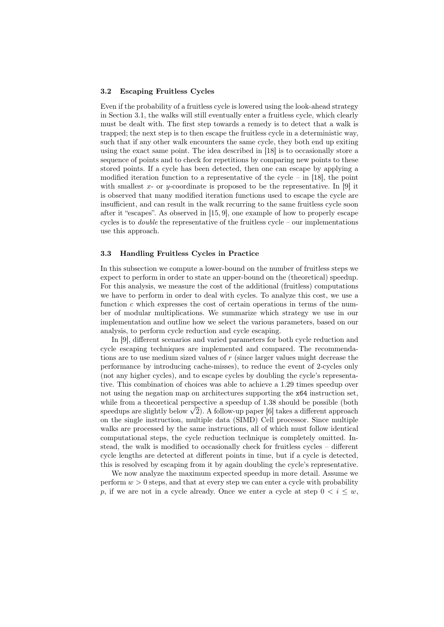#### 3.2 Escaping Fruitless Cycles

Even if the probability of a fruitless cycle is lowered using the look-ahead strategy in Section 3.1, the walks will still eventually enter a fruitless cycle, which clearly must be dealt with. The first step towards a remedy is to detect that a walk is trapped; the next step is to then escape the fruitless cycle in a deterministic way, such that if any other walk encounters the same cycle, they both end up exiting using the exact same point. The idea described in [18] is to occasionally store a sequence of points and to check for repetitions by comparing new points to these stored points. If a cycle has been detected, then one can escape by applying a modified iteration function to a representative of the cycle – in [18], the point with smallest x- or y-coordinate is proposed to be the representative. In [9] it is observed that many modified iteration functions used to escape the cycle are insufficient, and can result in the walk recurring to the same fruitless cycle soon after it "escapes". As observed in [15, 9], one example of how to properly escape cycles is to *double* the representative of the fruitless cycle – our implementations use this approach.

#### 3.3 Handling Fruitless Cycles in Practice

In this subsection we compute a lower-bound on the number of fruitless steps we expect to perform in order to state an upper-bound on the (theoretical) speedup. For this analysis, we measure the cost of the additional (fruitless) computations we have to perform in order to deal with cycles. To analyze this cost, we use a function  $c$  which expresses the cost of certain operations in terms of the number of modular multiplications. We summarize which strategy we use in our implementation and outline how we select the various parameters, based on our analysis, to perform cycle reduction and cycle escaping.

In [9], different scenarios and varied parameters for both cycle reduction and cycle escaping techniques are implemented and compared. The recommendations are to use medium sized values of  $r$  (since larger values might decrease the performance by introducing cache-misses), to reduce the event of 2-cycles only (not any higher cycles), and to escape cycles by doubling the cycle's representative. This combination of choices was able to achieve a 1.29 times speedup over not using the negation map on architectures supporting the x64 instruction set, while from a theoretical perspective a speedup of 1.38 should be possible (both while from a theoretical perspective a speedup or 1.38 should be possible (both<br>speedups are slightly below  $\sqrt{2}$ ). A follow-up paper [6] takes a different approach on the single instruction, multiple data (SIMD) Cell processor. Since multiple walks are processed by the same instructions, all of which must follow identical computational steps, the cycle reduction technique is completely omitted. Instead, the walk is modified to occasionally check for fruitless cycles – different cycle lengths are detected at different points in time, but if a cycle is detected, this is resolved by escaping from it by again doubling the cycle's representative.

We now analyze the maximum expected speedup in more detail. Assume we perform  $w > 0$  steps, and that at every step we can enter a cycle with probability p, if we are not in a cycle already. Once we enter a cycle at step  $0 < i \leq w$ ,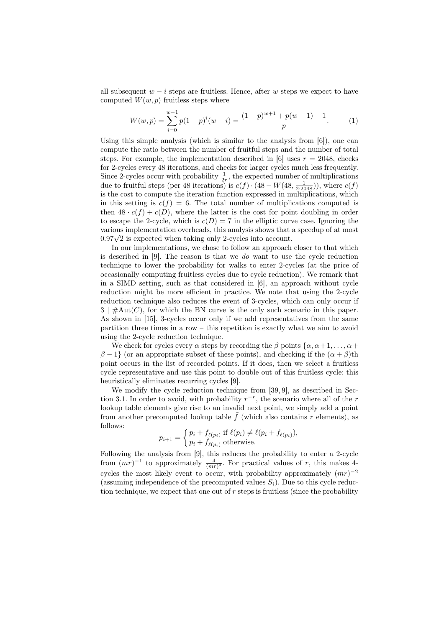all subsequent  $w - i$  steps are fruitless. Hence, after w steps we expect to have computed  $W(w, p)$  fruitless steps where

$$
W(w,p) = \sum_{i=0}^{w-1} p(1-p)^i (w-i) = \frac{(1-p)^{w+1} + p(w+1) - 1}{p}.
$$
 (1)

Using this simple analysis (which is similar to the analysis from [6]), one can compute the ratio between the number of fruitful steps and the number of total steps. For example, the implementation described in [6] uses  $r = 2048$ , checks for 2-cycles every 48 iterations, and checks for larger cycles much less frequently. Since 2-cycles occur with probability  $\frac{1}{2r}$ , the expected number of multiplications due to fruitful steps (per 48 iterations) is  $c(f) \cdot (48 - W(48, \frac{1}{2 \cdot 2048}))$ , where  $c(f)$ is the cost to compute the iteration function expressed in multiplications, which in this setting is  $c(f) = 6$ . The total number of multiplications computed is then  $48 \cdot c(f) + c(D)$ , where the latter is the cost for point doubling in order to escape the 2-cycle, which is  $c(D) = 7$  in the elliptic curve case. Ignoring the various implementation overheads, this analysis shows that a speedup of at most various implementation overneads, this analysis shows that  $0.97\sqrt{2}$  is expected when taking only 2-cycles into account.

In our implementations, we chose to follow an approach closer to that which is described in [9]. The reason is that we do want to use the cycle reduction technique to lower the probability for walks to enter 2-cycles (at the price of occasionally computing fruitless cycles due to cycle reduction). We remark that in a SIMD setting, such as that considered in [6], an approach without cycle reduction might be more efficient in practice. We note that using the 2-cycle reduction technique also reduces the event of 3-cycles, which can only occur if  $3 \mid \#Aut(C)$ , for which the BN curve is the only such scenario in this paper. As shown in [15], 3-cycles occur only if we add representatives from the same partition three times in a row – this repetition is exactly what we aim to avoid using the 2-cycle reduction technique.

We check for cycles every  $\alpha$  steps by recording the  $\beta$  points  $\{\alpha, \alpha+1, \dots, \alpha+\}$  $\beta - 1$  (or an appropriate subset of these points), and checking if the  $(\alpha + \beta)$ th point occurs in the list of recorded points. If it does, then we select a fruitless cycle representative and use this point to double out of this fruitless cycle: this heuristically eliminates recurring cycles [9].

We modify the cycle reduction technique from [39, 9], as described in Section 3.1. In order to avoid, with probability  $r^{-r}$ , the scenario where all of the r lookup table elements give rise to an invalid next point, we simply add a point from another precomputed lookup table  $\tilde{f}$  (which also contains r elements), as follows:

$$
p_{i+1} = \begin{cases} p_i + f_{\ell(p_i)} & \text{if } \ell(p_i) \neq \ell(p_i + f_{\ell(p_i)}), \\ p_i + \tilde{f}_{\ell(p_i)} & \text{otherwise.} \end{cases}
$$

Following the analysis from [9], this reduces the probability to enter a 2-cycle from  $(mr)^{-1}$  to approximately  $\frac{4}{(mr)^3}$ . For practical values of r, this makes 4cycles the most likely event to occur, with probability approximately  $(mr)^{-2}$ (assuming independence of the precomputed values  $S_i$ ). Due to this cycle reduction technique, we expect that one out of  $r$  steps is fruitless (since the probability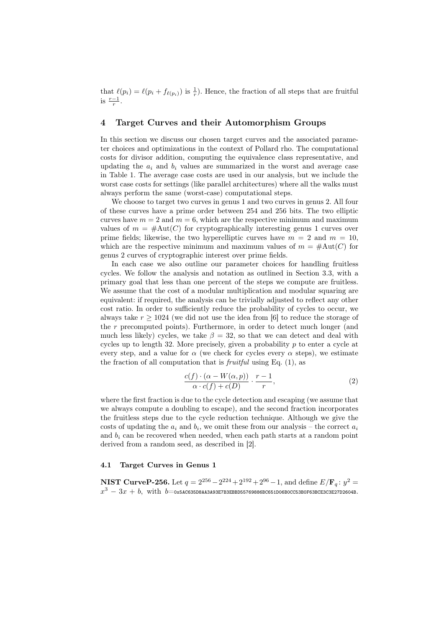that  $\ell(p_i) = \ell(p_i + f_{\ell(p_i)})$  is  $\frac{1}{r}$ ). Hence, the fraction of all steps that are fruitful is  $\frac{r-1}{r}$ .

# 4 Target Curves and their Automorphism Groups

In this section we discuss our chosen target curves and the associated parameter choices and optimizations in the context of Pollard rho. The computational costs for divisor addition, computing the equivalence class representative, and updating the  $a_i$  and  $b_i$  values are summarized in the worst and average case in Table 1. The average case costs are used in our analysis, but we include the worst case costs for settings (like parallel architectures) where all the walks must always perform the same (worst-case) computational steps.

We choose to target two curves in genus 1 and two curves in genus 2. All four of these curves have a prime order between 254 and 256 bits. The two elliptic curves have  $m = 2$  and  $m = 6$ , which are the respective minimum and maximum values of  $m = #Aut(C)$  for cryptographically interesting genus 1 curves over prime fields; likewise, the two hyperelliptic curves have  $m = 2$  and  $m = 10$ , which are the respective minimum and maximum values of  $m = #Aut(C)$  for genus 2 curves of cryptographic interest over prime fields.

In each case we also outline our parameter choices for handling fruitless cycles. We follow the analysis and notation as outlined in Section 3.3, with a primary goal that less than one percent of the steps we compute are fruitless. We assume that the cost of a modular multiplication and modular squaring are equivalent: if required, the analysis can be trivially adjusted to reflect any other cost ratio. In order to sufficiently reduce the probability of cycles to occur, we always take  $r \geq 1024$  (we did not use the idea from [6] to reduce the storage of the r precomputed points). Furthermore, in order to detect much longer (and much less likely) cycles, we take  $\beta = 32$ , so that we can detect and deal with cycles up to length 32. More precisely, given a probability  $p$  to enter a cycle at every step, and a value for  $\alpha$  (we check for cycles every  $\alpha$  steps), we estimate the fraction of all computation that is *fruitful* using Eq.  $(1)$ , as

$$
\frac{c(f) \cdot (\alpha - W(\alpha, p))}{\alpha \cdot c(f) + c(D)} \cdot \frac{r-1}{r},\tag{2}
$$

where the first fraction is due to the cycle detection and escaping (we assume that we always compute a doubling to escape), and the second fraction incorporates the fruitless steps due to the cycle reduction technique. Although we give the costs of updating the  $a_i$  and  $b_i$ , we omit these from our analysis – the correct  $a_i$ and  $b_i$  can be recovered when needed, when each path starts at a random point derived from a random seed, as described in [2].

#### 4.1 Target Curves in Genus 1

NIST CurveP-256. Let  $q = 2^{256} - 2^{224} + 2^{192} + 2^{96} - 1$ , and define  $E/\mathbf{F}_q: y^2 =$  $x^3-3x+b, \text{ with } b=$ ох5ас635d8ааза93e7b3ebbd55769886Bc651d06b0cc53B0f63Bce3c3e27d2604B.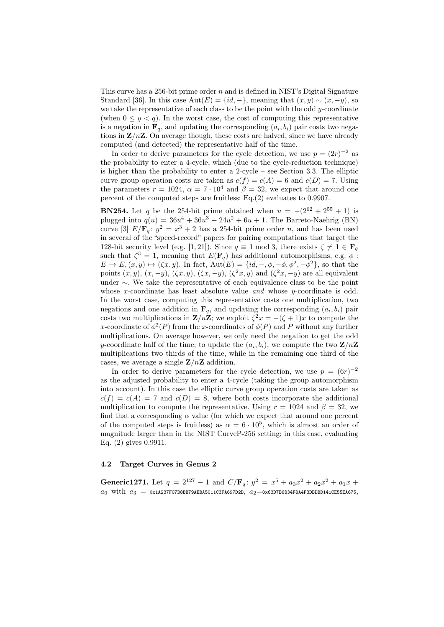This curve has a 256-bit prime order n and is defined in NIST's Digital Signature Standard [36]. In this case  $Aut(E) = \{id, -\}$ , meaning that  $(x, y) \sim (x, -y)$ , so we take the representative of each class to be the point with the odd  $y$ -coordinate (when  $0 \leq y < q$ ). In the worst case, the cost of computing this representative is a negation in  $\mathbf{F}_q$ , and updating the corresponding  $(a_i, b_i)$  pair costs two negations in  $\mathbf{Z}/n\mathbf{Z}$ . On average though, these costs are halved, since we have already computed (and detected) the representative half of the time.

In order to derive parameters for the cycle detection, we use  $p = (2r)^{-2}$  as the probability to enter a 4-cycle, which (due to the cycle-reduction technique) is higher than the probability to enter a 2-cycle – see Section 3.3. The elliptic curve group operation costs are taken as  $c(f) = c(A) = 6$  and  $c(D) = 7$ . Using the parameters  $r = 1024$ ,  $\alpha = 7 \cdot 10^4$  and  $\beta = 32$ , we expect that around one percent of the computed steps are fruitless: Eq.(2) evaluates to 0.9907.

**BN254.** Let q be the 254-bit prime obtained when  $u = -(2^{62} + 2^{55} + 1)$  is plugged into  $q(u) = 36u^4 + 36u^3 + 24u^2 + 6u + 1$ . The Barreto-Naehrig (BN) curve [3]  $E/\mathbf{F}_q: y^2 = x^3 + 2$  has a 254-bit prime order n, and has been used in several of the "speed-record" papers for pairing computations that target the 128-bit security level (e.g. [1, 21]). Since  $q \equiv 1 \mod 3$ , there exists  $\zeta \neq 1 \in \mathbf{F}_q$ such that  $\zeta^3 = 1$ , meaning that  $E(\mathbf{F}_q)$  has additional automorphisms, e.g.  $\phi$ :  $E \to E$ ,  $(x, y) \mapsto (\zeta x, y)$ . In fact,  $Aut(E) = {id, -, \phi, -\phi, \phi^2, -\phi^2}$ , so that the points  $(x, y)$ ,  $(x, -y)$ ,  $(\zeta x, y)$ ,  $(\zeta x, -y)$ ,  $(\zeta^2 x, y)$  and  $(\zeta^2 x, -y)$  are all equivalent under ∼. We take the representative of each equivalence class to be the point whose x-coordinate has least absolute value and whose  $y$ -coordinate is odd. In the worst case, computing this representative costs one multiplication, two negations and one addition in  $\mathbf{F}_q$ , and updating the corresponding  $(a_i, b_i)$  pair costs two multiplications in  $\mathbf{Z}/n\mathbf{Z}$ ; we exploit  $\zeta^2 x = -(\zeta + 1)x$  to compute the x-coordinate of  $\phi^2(P)$  from the x-coordinates of  $\phi(P)$  and P without any further multiplications. On average however, we only need the negation to get the odd y-coordinate half of the time; to update the  $(a_i, b_i)$ , we compute the two  $\mathbf{Z}/n\mathbf{Z}$ multiplications two thirds of the time, while in the remaining one third of the cases, we average a single  $\mathbb{Z}/n\mathbb{Z}$  addition.

In order to derive parameters for the cycle detection, we use  $p = (6r)^{-2}$ as the adjusted probability to enter a 4-cycle (taking the group automorphism into account). In this case the elliptic curve group operation costs are taken as  $c(f) = c(A) = 7$  and  $c(D) = 8$ , where both costs incorporate the additional multiplication to compute the representative. Using  $r = 1024$  and  $\beta = 32$ , we find that a corresponding  $\alpha$  value (for which we expect that around one percent of the computed steps is fruitless) as  $\alpha = 6 \cdot 10^5$ , which is almost an order of magnitude larger than in the NIST CurveP-256 setting: in this case, evaluating Eq. (2) gives 0.9911.

### 4.2 Target Curves in Genus 2

Generic1271. Let  $q = 2^{127} - 1$  and  $C/F_q$ :  $y^2 = x^5 + a_3x^2 + a_2x^2 + a_1x +$  $a_0$  with  $a_3 = 0$ x1A237F07B8BB79AEBA5011C3FA697D2D,  $a_2 = 0$ x63D7B6834F8A4F3DBDBD141CE55EA675,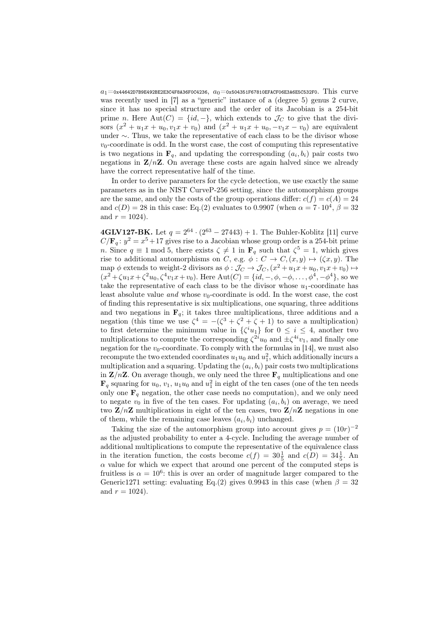$a_1$ =0x44642D7B9E492BE2E3C4F8A36F0C4236,  $a_0$ =0x504351F67810EFACF06E3A6E5C532F0. This curve was recently used in [7] as a "generic" instance of a (degree 5) genus 2 curve, since it has no special structure and the order of its Jacobian is a 254-bit prime n. Here Aut(C) = {id, -}, which extends to  $\mathcal{J}_C$  to give that the divisors  $(x^2 + u_1x + u_0, v_1x + v_0)$  and  $(x^2 + u_1x + u_0, -v_1x - v_0)$  are equivalent under ∼. Thus, we take the representative of each class to be the divisor whose  $v_0$ -coordinate is odd. In the worst case, the cost of computing this representative is two negations in  $\mathbf{F}_q$ , and updating the corresponding  $(a_i, b_i)$  pair costs two negations in  $\mathbb{Z}/n\mathbb{Z}$ . On average these costs are again halved since we already have the correct representative half of the time.

In order to derive parameters for the cycle detection, we use exactly the same parameters as in the NIST CurveP-256 setting, since the automorphism groups are the same, and only the costs of the group operations differ:  $c(f) = c(A) = 24$ and  $c(D) = 28$  in this case: Eq.(2) evaluates to 0.9907 (when  $\alpha = 7 \cdot 10^4$ ,  $\beta = 32$ and  $r = 1024$ .

**4GLV127-BK.** Let  $q = 2^{64} \cdot (2^{63} - 27443) + 1$ . The Buhler-Koblitz [11] curve  $C/\mathbf{F}_q: y^2 = x^5 + 17$  gives rise to a Jacobian whose group order is a 254-bit prime n. Since  $q \equiv 1 \mod 5$ , there exists  $\zeta \neq 1$  in  $\mathbf{F}_q$  such that  $\zeta^5 = 1$ , which gives rise to additional automorphisms on C, e.g.  $\phi: C \to C, (x, y) \mapsto (\zeta x, y)$ . The map  $\phi$  extends to weight-2 divisors as  $\phi : \mathcal{J}_C \to \mathcal{J}_C$ ,  $(x^2 + u_1x + u_0, v_1x + v_0) \mapsto$  $(x^2 + \zeta u_1 x + \zeta^2 u_0, \zeta^4 v_1 x + v_0)$ . Here  $Aut(C) = \{id, -, \phi, -\phi, \dots, \phi^4, -\phi^4\}$ , so we take the representative of each class to be the divisor whose  $u_1$ -coordinate has least absolute value and whose  $v_0$ -coordinate is odd. In the worst case, the cost of finding this representative is six multiplications, one squaring, three additions and two negations in  $\mathbf{F}_q$ ; it takes three multiplications, three additions and a negation (this time we use  $\zeta^4 = -(\zeta^3 + \zeta^2 + \zeta + 1)$  to save a multiplication) to first determine the minimum value in  $\{\zeta^i u_1\}$  for  $0 \leq i \leq 4$ , another two multiplications to compute the corresponding  $\zeta^{2i}u_0$  and  $\pm \zeta^{4i}v_1$ , and finally one negation for the  $v_0$ -coordinate. To comply with the formulas in [14], we must also recompute the two extended coordinates  $u_1u_0$  and  $u_1^2$ , which additionally incurs a multiplication and a squaring. Updating the  $(a_i, b_i)$  pair costs two multiplications in  $\mathbb{Z}/n\mathbb{Z}$ . On average though, we only need the three  $\mathbf{F}_q$  multiplications and one  $\mathbf{F}_q$  squaring for  $u_0, v_1, u_1u_0$  and  $u_1^2$  in eight of the ten cases (one of the ten needs only one  $\mathbf{F}_q$  negation, the other case needs no computation), and we only need to negate  $v_0$  in five of the ten cases. For updating  $(a_i, b_i)$  on average, we need two  $\mathbf{Z}/n\mathbf{Z}$  multiplications in eight of the ten cases, two  $\mathbf{Z}/n\mathbf{Z}$  negations in one of them, while the remaining case leaves  $(a_i, b_i)$  unchanged.

Taking the size of the automorphism group into account gives  $p = (10r)^{-2}$ as the adjusted probability to enter a 4-cycle. Including the average number of additional multiplications to compute the representative of the equivalence class in the iteration function, the costs become  $c(f) = 30\frac{1}{5}$  and  $c(D) = 34\frac{1}{5}$ . An  $\alpha$  value for which we expect that around one percent of the computed steps is fruitless is  $\alpha = 10^6$ : this is over an order of magnitude larger compared to the Generic1271 setting: evaluating Eq.(2) gives 0.9943 in this case (when  $\beta = 32$ and  $r = 1024$ .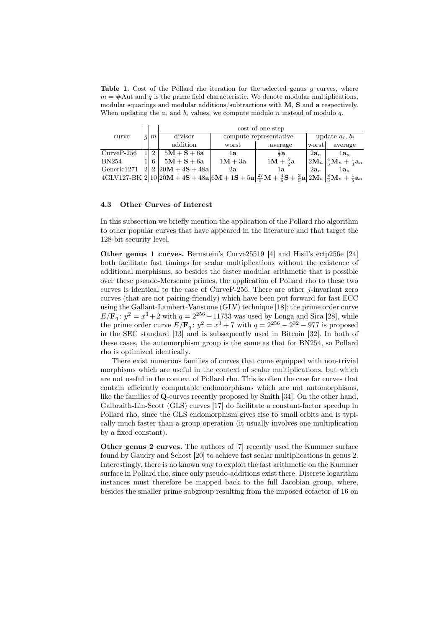Table 1. Cost of the Pollard rho iteration for the selected genus  $g$  curves, where  $m = #$ Aut and q is the prime field characteristic. We denote modular multiplications, modular squarings and modular additions/subtractions with M, S and a respectively. When updating the  $a_i$  and  $b_i$  values, we compute modulo n instead of modulo q.

|              |  |    | cost of one step                                                                                                                                                                                                                             |                        |                     |                   |                                                                             |  |
|--------------|--|----|----------------------------------------------------------------------------------------------------------------------------------------------------------------------------------------------------------------------------------------------|------------------------|---------------------|-------------------|-----------------------------------------------------------------------------|--|
| curve        |  | m  | divisor                                                                                                                                                                                                                                      | compute representative |                     | update $a_i, b_i$ |                                                                             |  |
|              |  |    | addition                                                                                                                                                                                                                                     | worst                  | average             | worst             | average                                                                     |  |
| $CurveP-256$ |  | -2 | $5M + S + 6a$                                                                                                                                                                                                                                | 1a                     | $\frac{4}{5}a$      | $2a_n$            | $1a_n$                                                                      |  |
| <b>BN254</b> |  | 6  | $5M + S + 6a$                                                                                                                                                                                                                                | $1M + 3a$              | $1M + \frac{5}{2}a$ |                   | $\left 2\mathbf{M}_n\right \frac{4}{3}\mathbf{M}_n+\frac{1}{3}\mathbf{a}_n$ |  |
| Generic1271  |  |    | $ 2 $ 2 $ 20M + 4S + 48a $                                                                                                                                                                                                                   | 2a                     | lа                  | $2a_n$            | $1a_n$                                                                      |  |
|              |  |    | $4\text{GLW}127\text{-}BK 2 10 20\textbf{M}+4\textbf{S}+48\textbf{a} 6\textbf{M}+1\textbf{S}+5\textbf{a}  \frac{27}{5}\textbf{M}+\frac{4}{5}\textbf{S}+\frac{3}{5}\textbf{a} 2\textbf{M}_n  \frac{8}{5}\textbf{M}_n+\frac{1}{5}\textbf{a}_n$ |                        |                     |                   |                                                                             |  |

#### 4.3 Other Curves of Interest

In this subsection we briefly mention the application of the Pollard rho algorithm to other popular curves that have appeared in the literature and that target the 128-bit security level.

Other genus 1 curves. Bernstein's Curve25519 [4] and Hisil's ecfp256e [24] both facilitate fast timings for scalar multiplications without the existence of additional morphisms, so besides the faster modular arithmetic that is possible over these pseudo-Mersenne primes, the application of Pollard rho to these two curves is identical to the case of Curve P-256. There are other  $j$ -invariant zero curves (that are not pairing-friendly) which have been put forward for fast ECC using the Gallant-Lambert-Vanstone (GLV) technique [18]: the prime order curve  $E/\mathbf{F}_q: y^2 = x^3 + 2$  with  $q = 2^{256} - 11733$  was used by Longa and Sica [28], while the prime order curve  $E/\mathbf{F}_q: y^2 = x^3 + 7$  with  $q = 2^{256} - 2^{32} - 977$  is proposed in the SEC standard [13] and is subsequently used in Bitcoin [32]. In both of these cases, the automorphism group is the same as that for BN254, so Pollard rho is optimized identically.

There exist numerous families of curves that come equipped with non-trivial morphisms which are useful in the context of scalar multiplications, but which are not useful in the context of Pollard rho. This is often the case for curves that contain efficiently computable endomorphisms which are not automorphisms, like the families of Q-curves recently proposed by Smith [34]. On the other hand, Galbraith-Lin-Scott (GLS) curves [17] do facilitate a constant-factor speedup in Pollard rho, since the GLS endomorphism gives rise to small orbits and is typically much faster than a group operation (it usually involves one multiplication by a fixed constant).

Other genus 2 curves. The authors of [7] recently used the Kummer surface found by Gaudry and Schost [20] to achieve fast scalar multiplications in genus 2. Interestingly, there is no known way to exploit the fast arithmetic on the Kummer surface in Pollard rho, since only pseudo-additions exist there. Discrete logarithm instances must therefore be mapped back to the full Jacobian group, where, besides the smaller prime subgroup resulting from the imposed cofactor of 16 on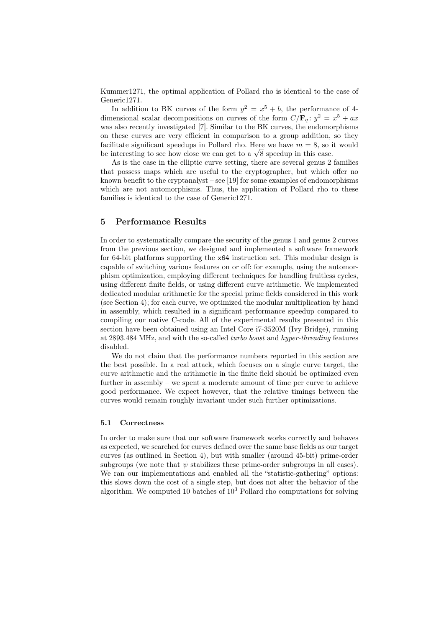Kummer1271, the optimal application of Pollard rho is identical to the case of Generic1271.

In addition to BK curves of the form  $y^2 = x^5 + b$ , the performance of 4dimensional scalar decompositions on curves of the form  $C/F_q$ :  $y^2 = x^5 + ax$ was also recently investigated [7]. Similar to the BK curves, the endomorphisms on these curves are very efficient in comparison to a group addition, so they facilitate significant speedups in Pollard rho. Here we have  $m = 8$ , so it would racultate significant speedups in Pollard rho. Here we have  $m = 8$ , so i<br>be interesting to see how close we can get to a  $\sqrt{8}$  speedup in this case.

As is the case in the elliptic curve setting, there are several genus 2 families that possess maps which are useful to the cryptographer, but which offer no known benefit to the cryptanalyst – see [19] for some examples of endomorphisms which are not automorphisms. Thus, the application of Pollard rho to these families is identical to the case of Generic1271.

# 5 Performance Results

In order to systematically compare the security of the genus 1 and genus 2 curves from the previous section, we designed and implemented a software framework for 64-bit platforms supporting the x64 instruction set. This modular design is capable of switching various features on or off: for example, using the automorphism optimization, employing different techniques for handling fruitless cycles, using different finite fields, or using different curve arithmetic. We implemented dedicated modular arithmetic for the special prime fields considered in this work (see Section 4); for each curve, we optimized the modular multiplication by hand in assembly, which resulted in a significant performance speedup compared to compiling our native C-code. All of the experimental results presented in this section have been obtained using an Intel Core i7-3520M (Ivy Bridge), running at 2893.484 MHz, and with the so-called turbo boost and hyper-threading features disabled.

We do not claim that the performance numbers reported in this section are the best possible. In a real attack, which focuses on a single curve target, the curve arithmetic and the arithmetic in the finite field should be optimized even further in assembly – we spent a moderate amount of time per curve to achieve good performance. We expect however, that the relative timings between the curves would remain roughly invariant under such further optimizations.

#### 5.1 Correctness

In order to make sure that our software framework works correctly and behaves as expected, we searched for curves defined over the same base fields as our target curves (as outlined in Section 4), but with smaller (around 45-bit) prime-order subgroups (we note that  $\psi$  stabilizes these prime-order subgroups in all cases). We ran our implementations and enabled all the "statistic-gathering" options: this slows down the cost of a single step, but does not alter the behavior of the algorithm. We computed 10 batches of  $10<sup>3</sup>$  Pollard rho computations for solving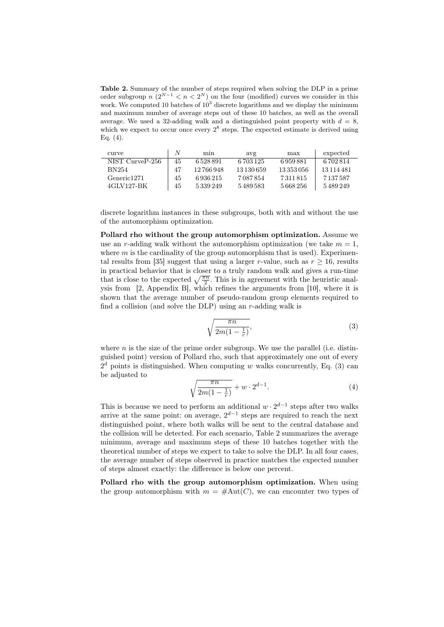Table 2. Summary of the number of steps required when solving the DLP in a prime order subgroup  $n \ (2^{N-1} < n < 2^N)$  on the four (modified) curves we consider in this work. We computed 10 batches of  $10<sup>3</sup>$  discrete logarithms and we display the minimum and maximum number of average steps out of these 10 batches, as well as the overall average. We used a 32-adding walk and a distinguished point property with  $d = 8$ , which we expect to occur once every  $2^8$  steps. The expected estimate is derived using Eq. (4).

| curve                   | N  | min        | avg        | max        | expected   |
|-------------------------|----|------------|------------|------------|------------|
| NIST CurveP-256         | 45 | 6528891    | 6 703 125  | 6959881    | 6 702 814  |
| <b>BN254</b>            | 47 | 12 766 948 | 13 130 659 | 13 353 056 | 13 114 481 |
| Generic <sub>1271</sub> | 45 | 6936215    | 7 087 854  | 7311815    | 7 137 587  |
| 4GLV127-BK              | 45 | 5339249    | 5489583    | 5668256    | 5489249    |

discrete logarithm instances in these subgroups, both with and without the use of the automorphism optimization.

Pollard rho without the group automorphism optimization. Assume we use an r-adding walk without the automorphism optimization (we take  $m = 1$ , where  $m$  is the cardinality of the group automorphism that is used). Experimental results from [35] suggest that using a larger r-value, such as  $r \ge 16$ , results in practical behavior that is closer to a truly random walk and gives a run-time that is close to the expected  $\sqrt{\frac{\pi n}{2}}$ . This is in agreement with the heuristic analysis from [2, Appendix B], which refines the arguments from [10], where it is shown that the average number of pseudo-random group elements required to find a collision (and solve the DLP) using an  $r$ -adding walk is

$$
\sqrt{\frac{\pi n}{2m(1-\frac{1}{r})}},\tag{3}
$$

where  $n$  is the size of the prime order subgroup. We use the parallel (i.e. distinguished point) version of Pollard rho, such that approximately one out of every  $2<sup>d</sup>$  points is distinguished. When computing w walks concurrently, Eq. (3) can be adjusted to

$$
\sqrt{\frac{\pi n}{2m(1-\frac{1}{r})}} + w \cdot 2^{d-1}.\tag{4}
$$

This is because we need to perform an additional  $w \cdot 2^{d-1}$  steps after two walks arrive at the same point: on average,  $2^{d-1}$  steps are required to reach the next distinguished point, where both walks will be sent to the central database and the collision will be detected. For each scenario, Table 2 summarizes the average minimum, average and maximum steps of these 10 batches together with the theoretical number of steps we expect to take to solve the DLP. In all four cases, the average number of steps observed in practice matches the expected number of steps almost exactly: the difference is below one percent.

Pollard rho with the group automorphism optimization. When using the group automorphism with  $m = #Aut(C)$ , we can encounter two types of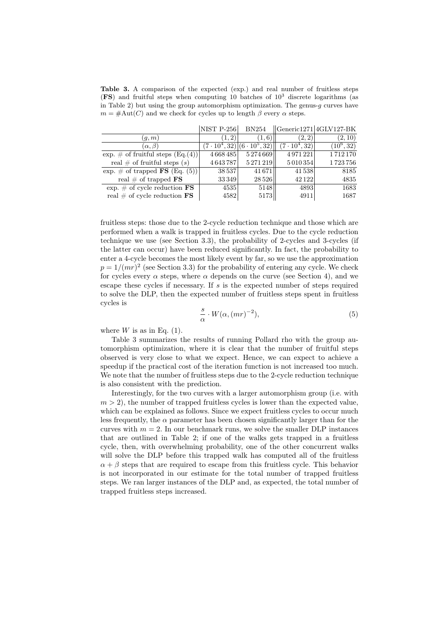Table 3. A comparison of the expected (exp.) and real number of fruitless steps  $(FS)$  and fruitful steps when computing 10 batches of  $10<sup>3</sup>$  discrete logarithms (as in Table 2) but using the group automorphism optimization. The genus- $g$  curves have  $m = #Aut(C)$  and we check for cycles up to length  $\beta$  every  $\alpha$  steps.

|                                          | <b>NIST P-256</b>    | <b>BN254</b>           |                      | $\left  \right $ Generic1271 4GLV127-BK |
|------------------------------------------|----------------------|------------------------|----------------------|-----------------------------------------|
| (q, m)                                   | (1, 2)               | (1, 6)                 | (2, 2)               | (2, 10)                                 |
| $(\alpha, \beta)$                        | $(7 \cdot 10^4, 32)$ | $(6 \cdot 10^{5}, 32)$ | $(7 \cdot 10^4, 32)$ | $(10^6, 32)$                            |
| exp. $\#$ of fruitful steps $(Eq.(4))$   | 4668485              | 5274669                | 4971221              | 1712170                                 |
| real $\#$ of fruitful steps $(s)$        | 4643787              | 5271219                | 5010354              | 1723756                                 |
| exp. $\#$ of trapped <b>FS</b> (Eq. (5)) | 38537                | 41671                  | 41538                | 8185                                    |
| real $\#$ of trapped FS                  | 33349                | 28 5 26                | 42122                | 4835                                    |
| exp. $\#$ of cycle reduction FS          | 4535                 | 5148                   | 4893                 | 1683                                    |
| real $\#$ of cycle reduction $\text{FS}$ | 4582                 | 5173                   | 4911                 | 1687                                    |

fruitless steps: those due to the 2-cycle reduction technique and those which are performed when a walk is trapped in fruitless cycles. Due to the cycle reduction technique we use (see Section 3.3), the probability of 2-cycles and 3-cycles (if the latter can occur) have been reduced significantly. In fact, the probability to enter a 4-cycle becomes the most likely event by far, so we use the approximation  $p = 1/(mr)^2$  (see Section 3.3) for the probability of entering any cycle. We check for cycles every  $\alpha$  steps, where  $\alpha$  depends on the curve (see Section 4), and we escape these cycles if necessary. If  $s$  is the expected number of steps required to solve the DLP, then the expected number of fruitless steps spent in fruitless cycles is

$$
\frac{s}{\alpha} \cdot W(\alpha, (mr)^{-2}),\tag{5}
$$

where  $W$  is as in Eq. (1).

Table 3 summarizes the results of running Pollard rho with the group automorphism optimization, where it is clear that the number of fruitful steps observed is very close to what we expect. Hence, we can expect to achieve a speedup if the practical cost of the iteration function is not increased too much. We note that the number of fruitless steps due to the 2-cycle reduction technique is also consistent with the prediction.

Interestingly, for the two curves with a larger automorphism group (i.e. with  $m > 2$ , the number of trapped fruitless cycles is lower than the expected value, which can be explained as follows. Since we expect fruitless cycles to occur much less frequently, the  $\alpha$  parameter has been chosen significantly larger than for the curves with  $m = 2$ . In our benchmark runs, we solve the smaller DLP instances that are outlined in Table 2; if one of the walks gets trapped in a fruitless cycle, then, with overwhelming probability, one of the other concurrent walks will solve the DLP before this trapped walk has computed all of the fruitless  $\alpha + \beta$  steps that are required to escape from this fruitless cycle. This behavior is not incorporated in our estimate for the total number of trapped fruitless steps. We ran larger instances of the DLP and, as expected, the total number of trapped fruitless steps increased.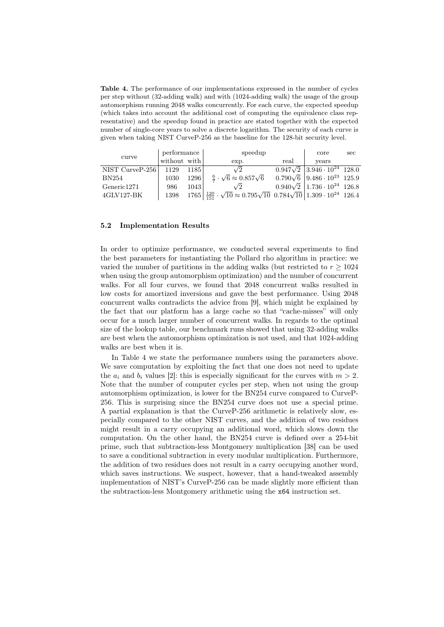Table 4. The performance of our implementations expressed in the number of cycles per step without (32-adding walk) and with (1024-adding walk) the usage of the group automorphism running 2048 walks concurrently. For each curve, the expected speedup (which takes into account the additional cost of computing the equivalence class representative) and the speedup found in practice are stated together with the expected number of single-core years to solve a discrete logarithm. The security of each curve is given when taking NIST CurveP-256 as the baseline for the 128-bit security level.

|                 | performance  |      | speedup                                                                                                                 |      | core                                          | sec |
|-----------------|--------------|------|-------------------------------------------------------------------------------------------------------------------------|------|-----------------------------------------------|-----|
| curve           | without with |      | exp.                                                                                                                    | real | vears                                         |     |
| NIST CurveP-256 | 1129         | 1185 | $\sqrt{2}$                                                                                                              |      | $0.947\sqrt{2}$ 3.946 $\cdot 10^{24}$ 128.0   |     |
| BN254           | 1030         | 1296 | $\frac{6}{7} \cdot \sqrt{6} \approx 0.857\sqrt{6}$                                                                      |      | $0.790\sqrt{6}$ 9.486 $\cdot 10^{23}$ 125.9   |     |
| Generic1271     | 986          | 1043 | $\sqrt{2}$                                                                                                              |      | $0.940\sqrt{2}$   1.736 $\cdot 10^{24}$ 126.8 |     |
| 4GLV127-BK      | 1398         |      | $1765\left \frac{120}{151}\cdot\sqrt{10}\approx 0.795\sqrt{10}\right 0.784\sqrt{10}\left 1.309\cdot10^{24}\right 126.4$ |      |                                               |     |

# 5.2 Implementation Results

In order to optimize performance, we conducted several experiments to find the best parameters for instantiating the Pollard rho algorithm in practice: we varied the number of partitions in the adding walks (but restricted to  $r \geq 1024$ when using the group automorphism optimization) and the number of concurrent walks. For all four curves, we found that 2048 concurrent walks resulted in low costs for amortized inversions and gave the best performance. Using 2048 concurrent walks contradicts the advice from [9], which might be explained by the fact that our platform has a large cache so that "cache-misses" will only occur for a much larger number of concurrent walks. In regards to the optimal size of the lookup table, our benchmark runs showed that using 32-adding walks are best when the automorphism optimization is not used, and that 1024-adding walks are best when it is.

In Table 4 we state the performance numbers using the parameters above. We save computation by exploiting the fact that one does not need to update the  $a_i$  and  $b_i$  values [2]: this is especially significant for the curves with  $m > 2$ . Note that the number of computer cycles per step, when not using the group automorphism optimization, is lower for the BN254 curve compared to CurveP-256. This is surprising since the BN254 curve does not use a special prime. A partial explanation is that the CurveP-256 arithmetic is relatively slow, especially compared to the other NIST curves, and the addition of two residues might result in a carry occupying an additional word, which slows down the computation. On the other hand, the BN254 curve is defined over a 254-bit prime, such that subtraction-less Montgomery multiplication [38] can be used to save a conditional subtraction in every modular multiplication. Furthermore, the addition of two residues does not result in a carry occupying another word, which saves instructions. We suspect, however, that a hand-tweaked assembly implementation of NIST's CurveP-256 can be made slightly more efficient than the subtraction-less Montgomery arithmetic using the x64 instruction set.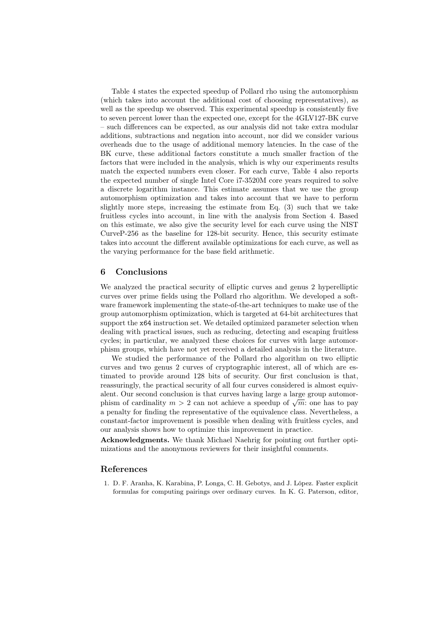Table 4 states the expected speedup of Pollard rho using the automorphism (which takes into account the additional cost of choosing representatives), as well as the speedup we observed. This experimental speedup is consistently five to seven percent lower than the expected one, except for the 4GLV127-BK curve – such differences can be expected, as our analysis did not take extra modular additions, subtractions and negation into account, nor did we consider various overheads due to the usage of additional memory latencies. In the case of the BK curve, these additional factors constitute a much smaller fraction of the factors that were included in the analysis, which is why our experiments results match the expected numbers even closer. For each curve, Table 4 also reports the expected number of single Intel Core i7-3520M core years required to solve a discrete logarithm instance. This estimate assumes that we use the group automorphism optimization and takes into account that we have to perform slightly more steps, increasing the estimate from Eq. (3) such that we take fruitless cycles into account, in line with the analysis from Section 4. Based on this estimate, we also give the security level for each curve using the NIST CurveP-256 as the baseline for 128-bit security. Hence, this security estimate takes into account the different available optimizations for each curve, as well as the varying performance for the base field arithmetic.

### 6 Conclusions

We analyzed the practical security of elliptic curves and genus 2 hyperelliptic curves over prime fields using the Pollard rho algorithm. We developed a software framework implementing the state-of-the-art techniques to make use of the group automorphism optimization, which is targeted at 64-bit architectures that support the x64 instruction set. We detailed optimized parameter selection when dealing with practical issues, such as reducing, detecting and escaping fruitless cycles; in particular, we analyzed these choices for curves with large automorphism groups, which have not yet received a detailed analysis in the literature.

We studied the performance of the Pollard rho algorithm on two elliptic curves and two genus 2 curves of cryptographic interest, all of which are estimated to provide around 128 bits of security. Our first conclusion is that, reassuringly, the practical security of all four curves considered is almost equivalent. Our second conclusion is that curves having large a large group automoralent. Our second conclusion is that curves having large a large group automorphism of cardinality  $m > 2$  can not achieve a speedup of  $\sqrt{m}$ : one has to pay a penalty for finding the representative of the equivalence class. Nevertheless, a constant-factor improvement is possible when dealing with fruitless cycles, and our analysis shows how to optimize this improvement in practice.

Acknowledgments. We thank Michael Naehrig for pointing out further optimizations and the anonymous reviewers for their insightful comments.

# References

1. D. F. Aranha, K. Karabina, P. Longa, C. H. Gebotys, and J. López. Faster explicit formulas for computing pairings over ordinary curves. In K. G. Paterson, editor,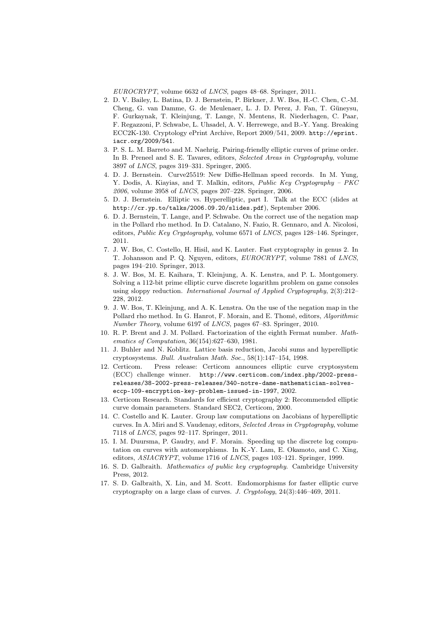EUROCRYPT, volume 6632 of LNCS, pages 48–68. Springer, 2011.

- 2. D. V. Bailey, L. Batina, D. J. Bernstein, P. Birkner, J. W. Bos, H.-C. Chen, C.-M. Cheng, G. van Damme, G. de Meulenaer, L. J. D. Perez, J. Fan, T. Güneysu, F. Gurkaynak, T. Kleinjung, T. Lange, N. Mentens, R. Niederhagen, C. Paar, F. Regazzoni, P. Schwabe, L. Uhsadel, A. V. Herrewege, and B.-Y. Yang. Breaking ECC2K-130. Cryptology ePrint Archive, Report 2009/541, 2009. http://eprint. iacr.org/2009/541.
- 3. P. S. L. M. Barreto and M. Naehrig. Pairing-friendly elliptic curves of prime order. In B. Preneel and S. E. Tavares, editors, Selected Areas in Cryptography, volume 3897 of LNCS, pages 319–331. Springer, 2005.
- 4. D. J. Bernstein. Curve25519: New Diffie-Hellman speed records. In M. Yung, Y. Dodis, A. Kiayias, and T. Malkin, editors, Public Key Cryptography - PKC 2006, volume 3958 of LNCS, pages 207–228. Springer, 2006.
- 5. D. J. Bernstein. Elliptic vs. Hyperelliptic, part I. Talk at the ECC (slides at http://cr.yp.to/talks/2006.09.20/slides.pdf), September 2006.
- 6. D. J. Bernstein, T. Lange, and P. Schwabe. On the correct use of the negation map in the Pollard rho method. In D. Catalano, N. Fazio, R. Gennaro, and A. Nicolosi, editors, Public Key Cryptography, volume 6571 of LNCS, pages 128–146. Springer, 2011.
- 7. J. W. Bos, C. Costello, H. Hisil, and K. Lauter. Fast cryptography in genus 2. In T. Johansson and P. Q. Nguyen, editors, EUROCRYPT, volume 7881 of LNCS, pages 194–210. Springer, 2013.
- 8. J. W. Bos, M. E. Kaihara, T. Kleinjung, A. K. Lenstra, and P. L. Montgomery. Solving a 112-bit prime elliptic curve discrete logarithm problem on game consoles using sloppy reduction. International Journal of Applied Cryptography, 2(3):212– 228, 2012.
- 9. J. W. Bos, T. Kleinjung, and A. K. Lenstra. On the use of the negation map in the Pollard rho method. In G. Hanrot, F. Morain, and E. Thomé, editors, Algorithmic Number Theory, volume 6197 of LNCS, pages 67–83. Springer, 2010.
- 10. R. P. Brent and J. M. Pollard. Factorization of the eighth Fermat number. Mathematics of Computation, 36(154):627–630, 1981.
- 11. J. Buhler and N. Koblitz. Lattice basis reduction, Jacobi sums and hyperelliptic cryptosystems. Bull. Australian Math. Soc., 58(1):147–154, 1998.
- 12. Certicom. Press release: Certicom announces elliptic curve cryptosystem (ECC) challenge winner. http://www.certicom.com/index.php/2002-pressreleases/38-2002-press-releases/340-notre-dame-mathematician-solveseccp-109-encryption-key-problem-issued-in-1997, 2002.
- 13. Certicom Research. Standards for efficient cryptography 2: Recommended elliptic curve domain parameters. Standard SEC2, Certicom, 2000.
- 14. C. Costello and K. Lauter. Group law computations on Jacobians of hyperelliptic curves. In A. Miri and S. Vaudenay, editors, Selected Areas in Cryptography, volume 7118 of LNCS, pages 92–117. Springer, 2011.
- 15. I. M. Duursma, P. Gaudry, and F. Morain. Speeding up the discrete log computation on curves with automorphisms. In K.-Y. Lam, E. Okamoto, and C. Xing, editors, ASIACRYPT, volume 1716 of LNCS, pages 103–121. Springer, 1999.
- 16. S. D. Galbraith. Mathematics of public key cryptography. Cambridge University Press, 2012.
- 17. S. D. Galbraith, X. Lin, and M. Scott. Endomorphisms for faster elliptic curve cryptography on a large class of curves. J. Cryptology, 24(3):446–469, 2011.